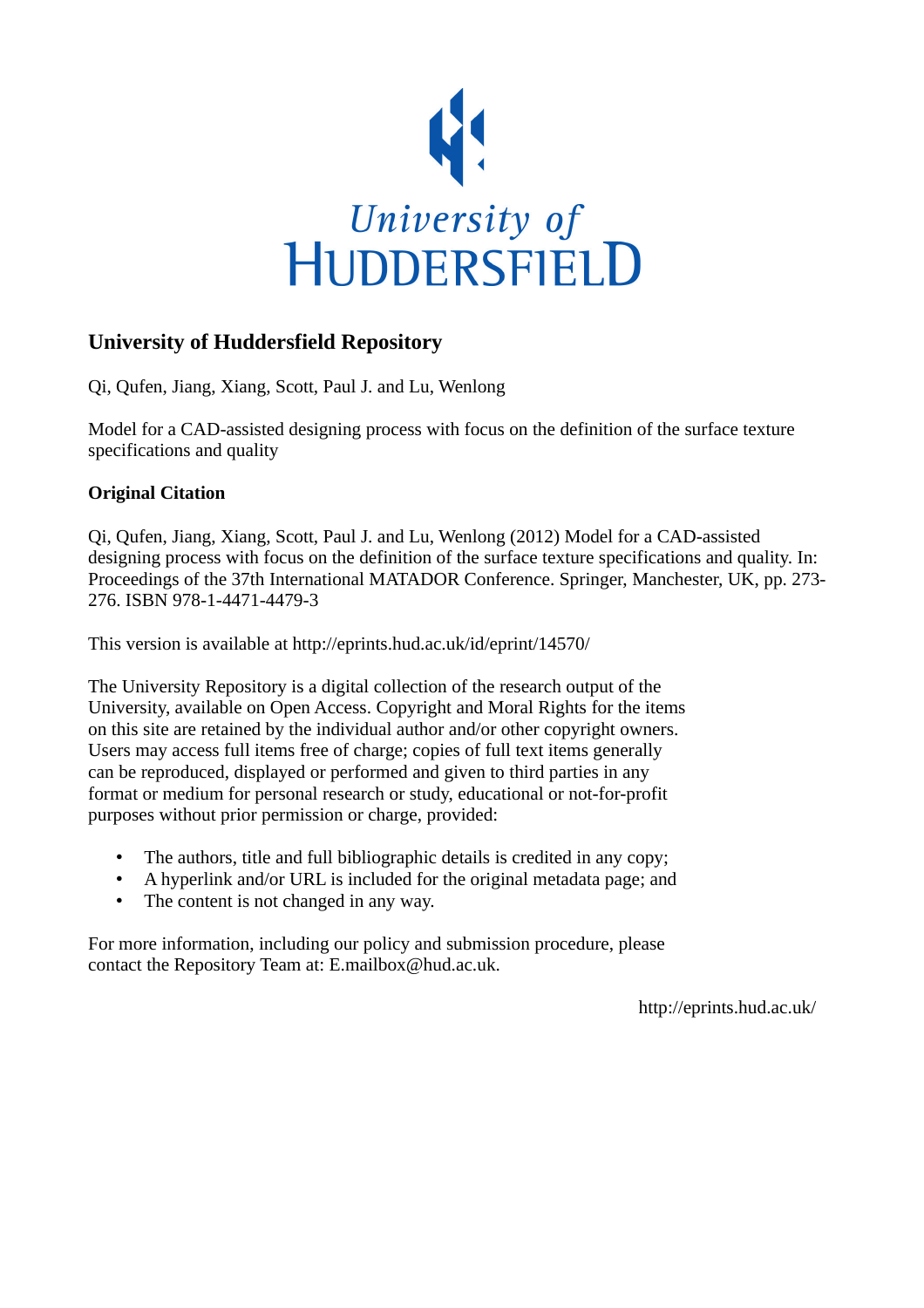

# **University of Huddersfield Repository**

Qi, Qufen, Jiang, Xiang, Scott, Paul J. and Lu, Wenlong

Model for a CAD-assisted designing process with focus on the definition of the surface texture specifications and quality

## **Original Citation**

Qi, Qufen, Jiang, Xiang, Scott, Paul J. and Lu, Wenlong (2012) Model for a CAD-assisted designing process with focus on the definition of the surface texture specifications and quality. In: Proceedings of the 37th International MATADOR Conference. Springer, Manchester, UK, pp. 273- 276. ISBN 978-1-4471-4479-3

This version is available at http://eprints.hud.ac.uk/id/eprint/14570/

The University Repository is a digital collection of the research output of the University, available on Open Access. Copyright and Moral Rights for the items on this site are retained by the individual author and/or other copyright owners. Users may access full items free of charge; copies of full text items generally can be reproduced, displayed or performed and given to third parties in any format or medium for personal research or study, educational or not-for-profit purposes without prior permission or charge, provided:

- The authors, title and full bibliographic details is credited in any copy;
- A hyperlink and/or URL is included for the original metadata page; and
- The content is not changed in any way.

For more information, including our policy and submission procedure, please contact the Repository Team at: E.mailbox@hud.ac.uk.

http://eprints.hud.ac.uk/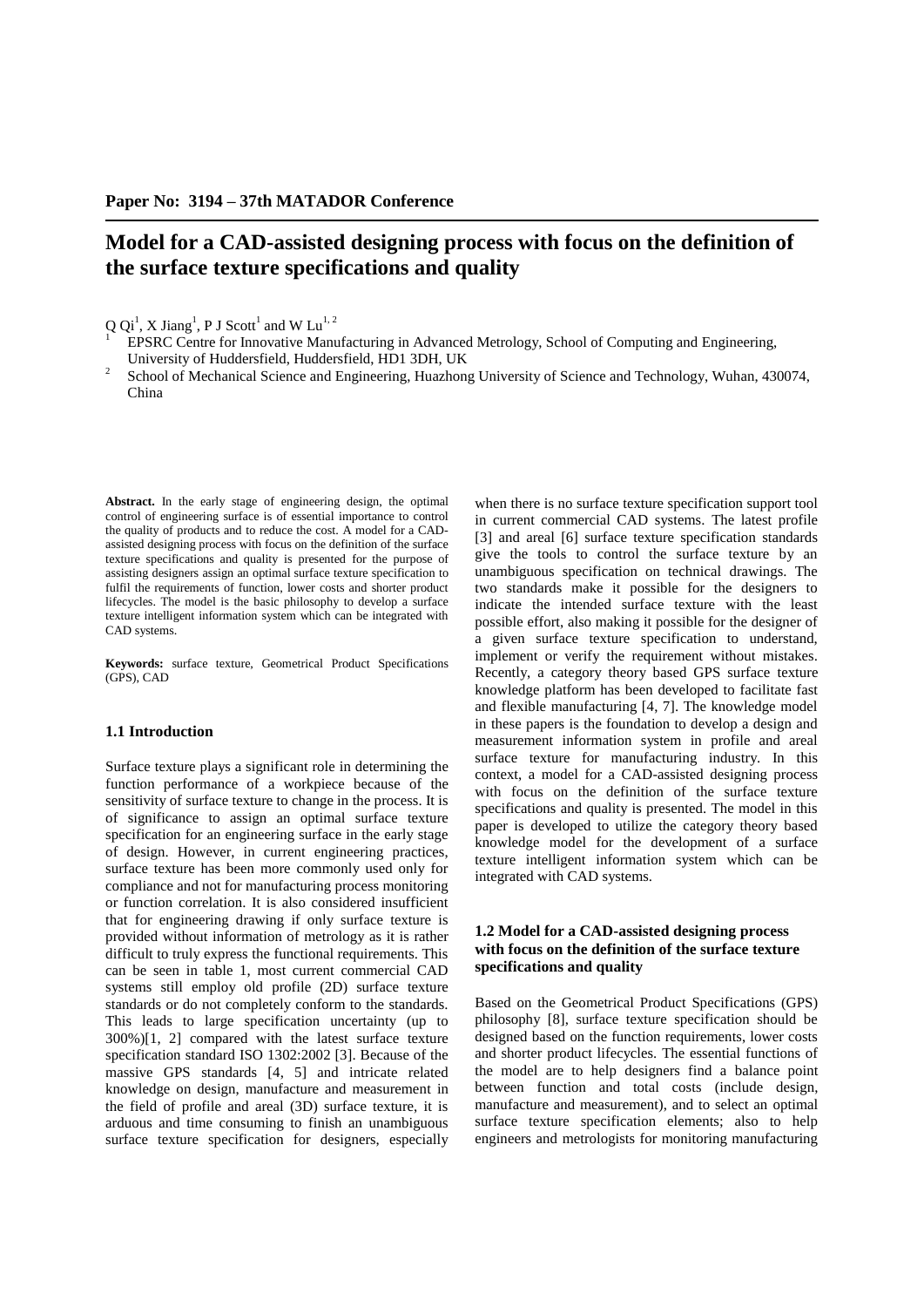## **Model for a CAD-assisted designing process with focus on the definition of the surface texture specifications and quality**

Q Qi<sup>1</sup>, X Jiang<sup>1</sup>, P J Scott<sup>1</sup> and W Lu<sup>1, 2</sup>

1 EPSRC Centre for Innovative Manufacturing in Advanced Metrology, School of Computing and Engineering, University of Huddersfield, Huddersfield, HD1 3DH, UK

2 School of Mechanical Science and Engineering, Huazhong University of Science and Technology, Wuhan, 430074, China

**Abstract.** In the early stage of engineering design, the optimal control of engineering surface is of essential importance to control the quality of products and to reduce the cost. A model for a CADassisted designing process with focus on the definition of the surface texture specifications and quality is presented for the purpose of assisting designers assign an optimal surface texture specification to fulfil the requirements of function, lower costs and shorter product lifecycles. The model is the basic philosophy to develop a surface texture intelligent information system which can be integrated with CAD systems.

**Keywords:** surface texture, Geometrical Product Specifications (GPS), CAD

#### **1.1 Introduction**

Surface texture plays a significant role in determining the function performance of a workpiece because of the sensitivity of surface texture to change in the process. It is of significance to assign an optimal surface texture specification for an engineering surface in the early stage of design. However, in current engineering practices, surface texture has been more commonly used only for compliance and not for manufacturing process monitoring or function correlation. It is also considered insufficient that for engineering drawing if only surface texture is provided without information of metrology as it is rather difficult to truly express the functional requirements. This can be seen in table 1, most current commercial CAD systems still employ old profile (2D) surface texture standards or do not completely conform to the standards. This leads to large specification uncertainty (up to 300%)[1, 2] compared with the latest surface texture specification standard ISO 1302:2002 [3]. Because of the massive GPS standards [4, 5] and intricate related knowledge on design, manufacture and measurement in the field of profile and areal (3D) surface texture, it is arduous and time consuming to finish an unambiguous surface texture specification for designers, especially

when there is no surface texture specification support tool in current commercial CAD systems. The latest profile [3] and areal [6] surface texture specification standards give the tools to control the surface texture by an unambiguous specification on technical drawings. The two standards make it possible for the designers to indicate the intended surface texture with the least possible effort, also making it possible for the designer of a given surface texture specification to understand, implement or verify the requirement without mistakes. Recently, a category theory based GPS surface texture knowledge platform has been developed to facilitate fast and flexible manufacturing [4, 7]. The knowledge model in these papers is the foundation to develop a design and measurement information system in profile and areal surface texture for manufacturing industry. In this context, a model for a CAD-assisted designing process with focus on the definition of the surface texture specifications and quality is presented. The model in this paper is developed to utilize the category theory based knowledge model for the development of a surface texture intelligent information system which can be integrated with CAD systems.

### **1.2 Model for a CAD-assisted designing process with focus on the definition of the surface texture specifications and quality**

Based on the Geometrical Product Specifications (GPS) philosophy [8], surface texture specification should be designed based on the function requirements, lower costs and shorter product lifecycles. The essential functions of the model are to help designers find a balance point between function and total costs (include design, manufacture and measurement), and to select an optimal surface texture specification elements; also to help engineers and metrologists for monitoring manufacturing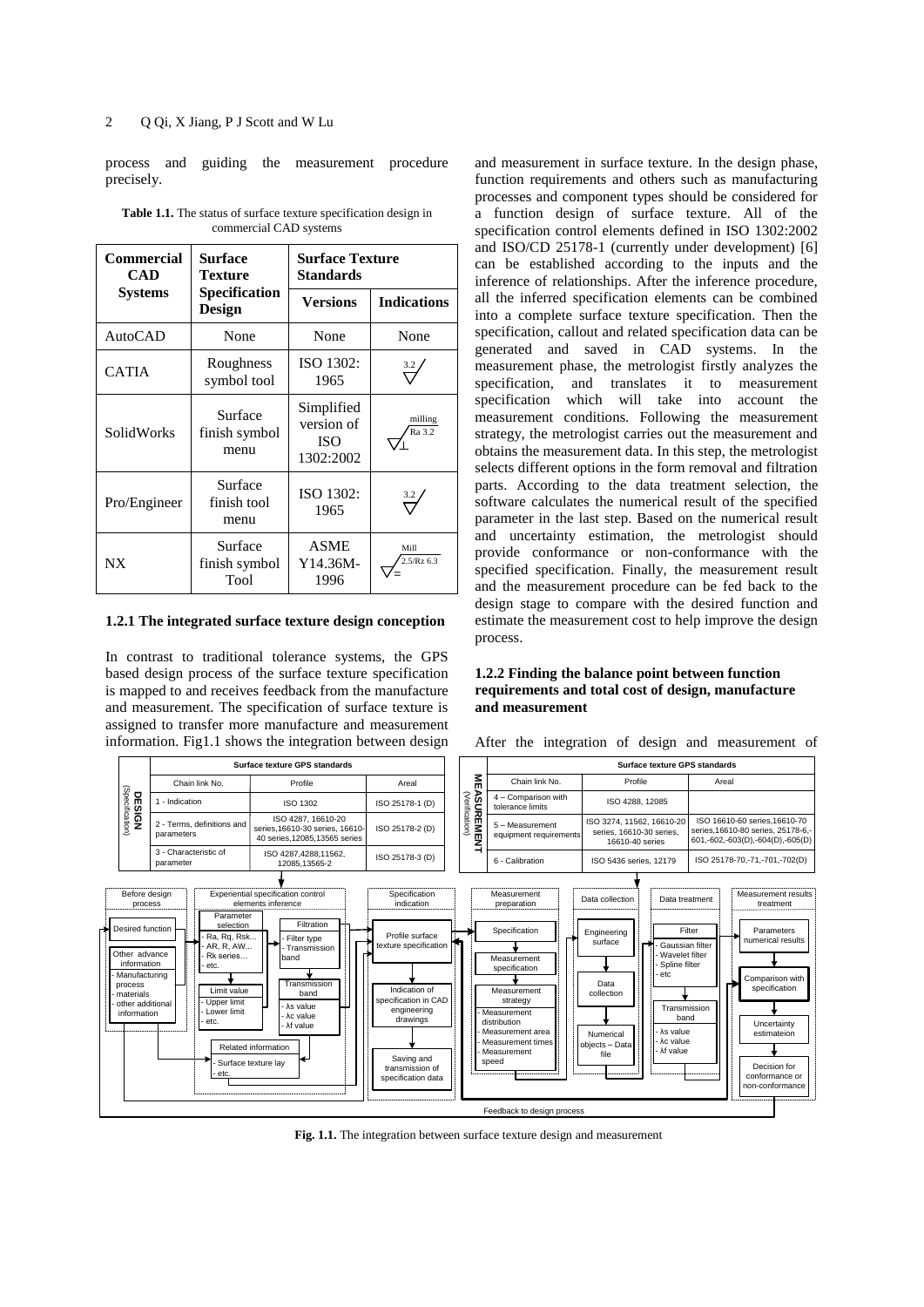process and guiding the measurement procedure precisely.

| <b>Commercial</b><br>CAD | <b>Surface</b><br>Texture<br><b>Specification</b><br>Design | <b>Surface Texture</b><br><b>Standards</b>          |                     |
|--------------------------|-------------------------------------------------------------|-----------------------------------------------------|---------------------|
| <b>Systems</b>           |                                                             | <b>Versions</b>                                     | <b>Indications</b>  |
| AutoCAD                  | None                                                        | None                                                | None                |
| <b>CATIA</b>             | Roughness<br>symbol tool                                    | ISO 1302:<br>1965                                   | 3.2                 |
| <b>SolidWorks</b>        | Surface<br>finish symbol<br>menu                            | Simplified<br>version of<br><b>ISO</b><br>1302:2002 | milling<br>$Ra$ 3.2 |
| Pro/Engineer             | Surface<br>finish tool<br>menu                              | ISO 1302:<br>1965                                   |                     |
| NX                       | Surface<br>finish symbol<br>Tool                            | <b>ASME</b><br>Y14.36M-<br>1996                     | Mill<br>2.5/Rz6.3   |

**Table 1.1.** The status of surface texture specification design in commercial CAD systems

#### **1.2.1 The integrated surface texture design conception**

In contrast to traditional tolerance systems, the GPS based design process of the surface texture specification is mapped to and receives feedback from the manufacture and measurement. The specification of surface texture is assigned to transfer more manufacture and measurement information. Fig1.1 shows the integration between design

and measurement in surface texture. In the design phase, function requirements and others such as manufacturing processes and component types should be considered for a function design of surface texture. All of the specification control elements defined in ISO 1302:2002 and ISO/CD 25178-1 (currently under development) [6] can be established according to the inputs and the inference of relationships. After the inference procedure, all the inferred specification elements can be combined into a complete surface texture specification. Then the specification, callout and related specification data can be generated and saved in CAD systems. In the measurement phase, the metrologist firstly analyzes the specification, and translates it to measurement specification which will take into account the measurement conditions. Following the measurement strategy, the metrologist carries out the measurement and obtains the measurement data. In this step, the metrologist selects different options in the form removal and filtration parts. According to the data treatment selection, the software calculates the numerical result of the specified parameter in the last step. Based on the numerical result and uncertainty estimation, the metrologist should provide conformance or non-conformance with the specified specification. Finally, the measurement result and the measurement procedure can be fed back to the design stage to compare with the desired function and estimate the measurement cost to help improve the design process.

#### **1.2.2 Finding the balance point between function requirements and total cost of design, manufacture and measurement**



After the integration of design and measurement of

**Fig. 1.1.** The integration between surface texture design and measurement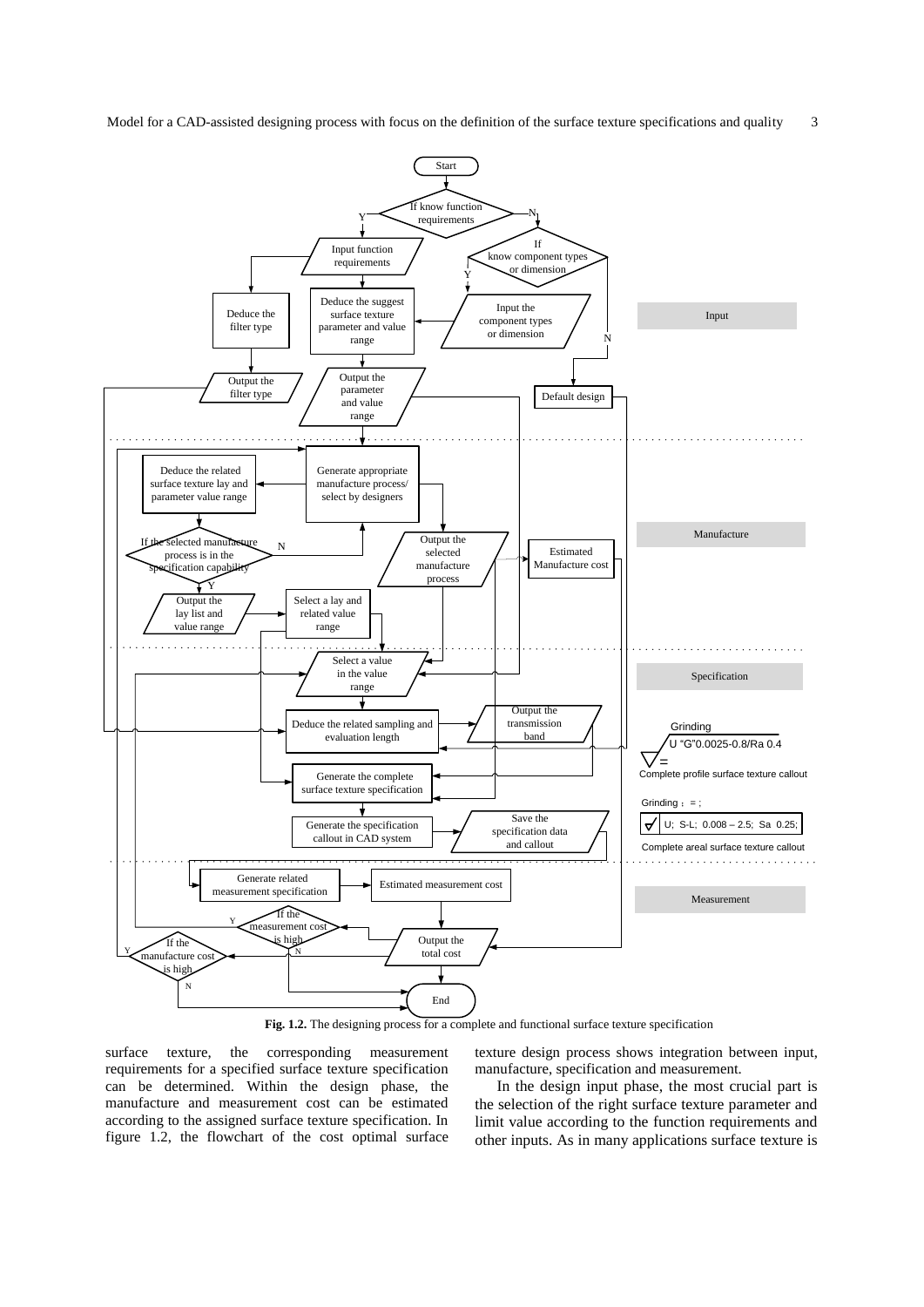Model for a CAD-assisted designing process with focus on the definition of the surface texture specifications and quality 3



**Fig. 1.2.** The designing process for a complete and functional surface texture specification

surface texture, the corresponding measurement requirements for a specified surface texture specification can be determined. Within the design phase, the manufacture and measurement cost can be estimated according to the assigned surface texture specification. In figure 1.2, the flowchart of the cost optimal surface

texture design process shows integration between input, manufacture, specification and measurement.

In the design input phase, the most crucial part is the selection of the right surface texture parameter and limit value according to the function requirements and other inputs. As in many applications surface texture is